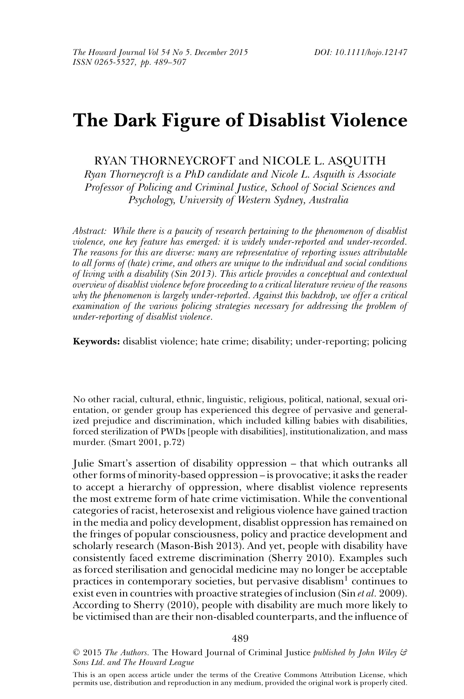# **The Dark Figure of Disablist Violence**

# RYAN THORNEYCROFT and NICOLE L. ASOUITH

*Ryan Thorneycroft is a PhD candidate and Nicole L. Asquith is Associate Professor of Policing and Criminal Justice, School of Social Sciences and Psychology, University of Western Sydney, Australia*

*Abstract: While there is a paucity of research pertaining to the phenomenon of disablist violence, one key feature has emerged: it is widely under-reported and under-recorded. The reasons for this are diverse: many are representative of reporting issues attributable to all forms of (hate) crime, and others are unique to the individual and social conditions of living with a disability (Sin 2013). This article provides a conceptual and contextual overview of disablist violence before proceeding to a critical literature review of the reasons why the phenomenon is largely under-reported. Against this backdrop, we offer a critical examination of the various policing strategies necessary for addressing the problem of under-reporting of disablist violence.*

# **Keywords:** disablist violence; hate crime; disability; under-reporting; policing

No other racial, cultural, ethnic, linguistic, religious, political, national, sexual orientation, or gender group has experienced this degree of pervasive and generalized prejudice and discrimination, which included killing babies with disabilities, forced sterilization of PWDs [people with disabilities], institutionalization, and mass murder. (Smart 2001, p.72)

Julie Smart's assertion of disability oppression – that which outranks all other forms of minority-based oppression – is provocative; it asks the reader to accept a hierarchy of oppression, where disablist violence represents the most extreme form of hate crime victimisation. While the conventional categories of racist, heterosexist and religious violence have gained traction in the media and policy development, disablist oppression has remained on the fringes of popular consciousness, policy and practice development and scholarly research (Mason-Bish 2013). And yet, people with disability have consistently faced extreme discrimination (Sherry 2010). Examples such as forced sterilisation and genocidal medicine may no longer be acceptable practices in contemporary societies, but pervasive disablism<sup>1</sup> continues to exist even in countries with proactive strategies of inclusion (Sin *et al.* 2009). According to Sherry (2010), people with disability are much more likely to be victimised than are their non-disabled counterparts, and the influence of

489

-<sup>C</sup> 2015 *The Authors.* The Howard Journal of Criminal Justice *published by John Wiley & Sons Ltd. and The Howard League*

This is an open access article under the terms of the Creative Commons Attribution License, which permits use, distribution and reproduction in any medium, provided the original work is properly cited.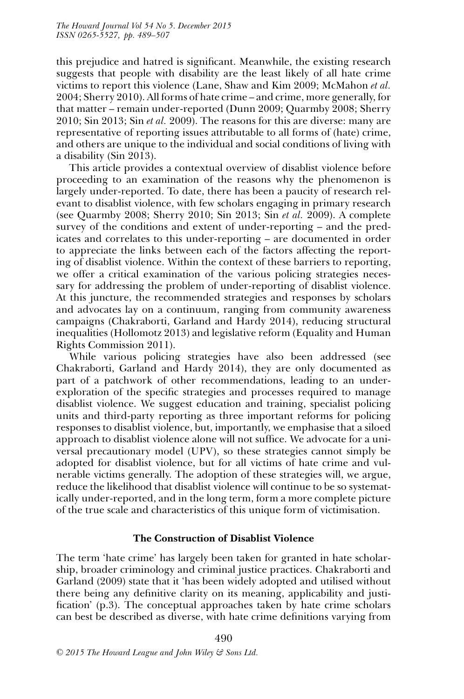this prejudice and hatred is significant. Meanwhile, the existing research suggests that people with disability are the least likely of all hate crime victims to report this violence (Lane, Shaw and Kim 2009; McMahon *et al.* 2004; Sherry 2010). All forms of hate crime – and crime, more generally, for that matter – remain under-reported (Dunn 2009; Quarmby 2008; Sherry 2010; Sin 2013; Sin *et al.* 2009). The reasons for this are diverse: many are representative of reporting issues attributable to all forms of (hate) crime, and others are unique to the individual and social conditions of living with a disability (Sin 2013).

This article provides a contextual overview of disablist violence before proceeding to an examination of the reasons why the phenomenon is largely under-reported. To date, there has been a paucity of research relevant to disablist violence, with few scholars engaging in primary research (see Quarmby 2008; Sherry 2010; Sin 2013; Sin *et al.* 2009). A complete survey of the conditions and extent of under-reporting – and the predicates and correlates to this under-reporting – are documented in order to appreciate the links between each of the factors affecting the reporting of disablist violence. Within the context of these barriers to reporting, we offer a critical examination of the various policing strategies necessary for addressing the problem of under-reporting of disablist violence. At this juncture, the recommended strategies and responses by scholars and advocates lay on a continuum, ranging from community awareness campaigns (Chakraborti, Garland and Hardy 2014), reducing structural inequalities (Hollomotz 2013) and legislative reform (Equality and Human Rights Commission 2011).

While various policing strategies have also been addressed (see Chakraborti, Garland and Hardy 2014), they are only documented as part of a patchwork of other recommendations, leading to an underexploration of the specific strategies and processes required to manage disablist violence. We suggest education and training, specialist policing units and third-party reporting as three important reforms for policing responses to disablist violence, but, importantly, we emphasise that a siloed approach to disablist violence alone will not suffice. We advocate for a universal precautionary model (UPV), so these strategies cannot simply be adopted for disablist violence, but for all victims of hate crime and vulnerable victims generally. The adoption of these strategies will, we argue, reduce the likelihood that disablist violence will continue to be so systematically under-reported, and in the long term, form a more complete picture of the true scale and characteristics of this unique form of victimisation.

# **The Construction of Disablist Violence**

The term 'hate crime' has largely been taken for granted in hate scholarship, broader criminology and criminal justice practices. Chakraborti and Garland (2009) state that it 'has been widely adopted and utilised without there being any definitive clarity on its meaning, applicability and justification' (p.3). The conceptual approaches taken by hate crime scholars can best be described as diverse, with hate crime definitions varying from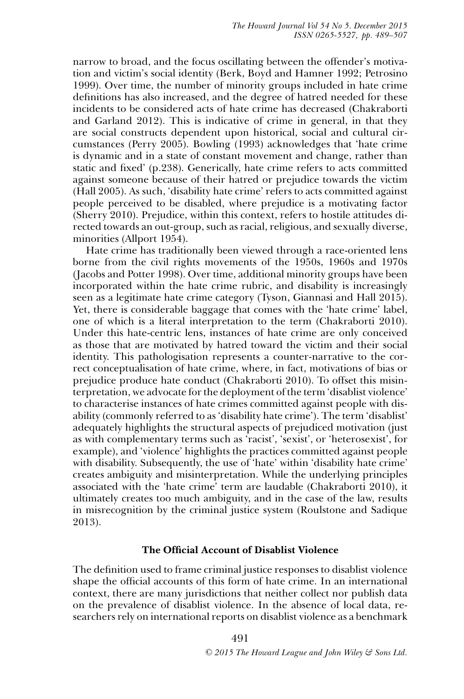narrow to broad, and the focus oscillating between the offender's motivation and victim's social identity (Berk, Boyd and Hamner 1992; Petrosino 1999). Over time, the number of minority groups included in hate crime definitions has also increased, and the degree of hatred needed for these incidents to be considered acts of hate crime has decreased (Chakraborti and Garland 2012). This is indicative of crime in general, in that they are social constructs dependent upon historical, social and cultural circumstances (Perry 2005). Bowling (1993) acknowledges that 'hate crime is dynamic and in a state of constant movement and change, rather than static and fixed' (p.238). Generically, hate crime refers to acts committed against someone because of their hatred or prejudice towards the victim (Hall 2005). As such, 'disability hate crime' refers to acts committed against people perceived to be disabled, where prejudice is a motivating factor (Sherry 2010). Prejudice, within this context, refers to hostile attitudes directed towards an out-group, such as racial, religious, and sexually diverse, minorities (Allport 1954).

Hate crime has traditionally been viewed through a race-oriented lens borne from the civil rights movements of the 1950s, 1960s and 1970s (Jacobs and Potter 1998). Over time, additional minority groups have been incorporated within the hate crime rubric, and disability is increasingly seen as a legitimate hate crime category (Tyson, Giannasi and Hall 2015). Yet, there is considerable baggage that comes with the 'hate crime' label, one of which is a literal interpretation to the term (Chakraborti 2010). Under this hate-centric lens, instances of hate crime are only conceived as those that are motivated by hatred toward the victim and their social identity. This pathologisation represents a counter-narrative to the correct conceptualisation of hate crime, where, in fact, motivations of bias or prejudice produce hate conduct (Chakraborti 2010). To offset this misinterpretation, we advocate for the deployment of the term 'disablist violence' to characterise instances of hate crimes committed against people with disability (commonly referred to as 'disability hate crime'). The term 'disablist' adequately highlights the structural aspects of prejudiced motivation (just as with complementary terms such as 'racist', 'sexist', or 'heterosexist', for example), and 'violence' highlights the practices committed against people with disability. Subsequently, the use of 'hate' within 'disability hate crime' creates ambiguity and misinterpretation. While the underlying principles associated with the 'hate crime' term are laudable (Chakraborti 2010), it ultimately creates too much ambiguity, and in the case of the law, results in misrecognition by the criminal justice system (Roulstone and Sadique 2013).

# **The Official Account of Disablist Violence**

The definition used to frame criminal justice responses to disablist violence shape the official accounts of this form of hate crime. In an international context, there are many jurisdictions that neither collect nor publish data on the prevalence of disablist violence. In the absence of local data, researchers rely on international reports on disablist violence as a benchmark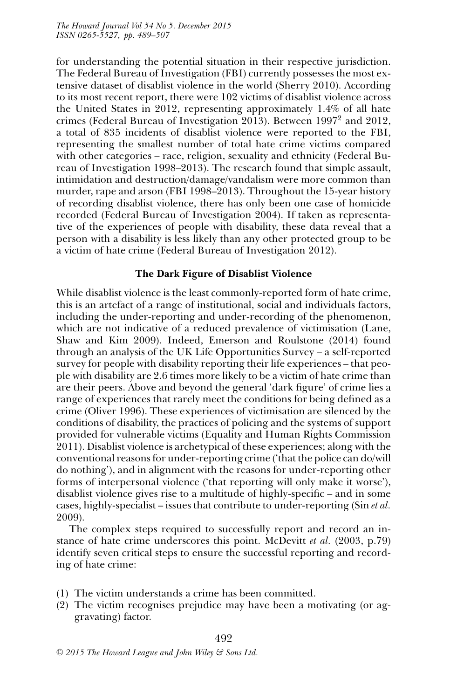*The Howard Journal Vol 54 No 5. December 2015 ISSN 0265-5527, pp. 489–507*

for understanding the potential situation in their respective jurisdiction. The Federal Bureau of Investigation (FBI) currently possesses the most extensive dataset of disablist violence in the world (Sherry 2010). According to its most recent report, there were 102 victims of disablist violence across the United States in 2012, representing approximately 1.4% of all hate crimes (Federal Bureau of Investigation 2013). Between 19972 and 2012, a total of 835 incidents of disablist violence were reported to the FBI, representing the smallest number of total hate crime victims compared with other categories – race, religion, sexuality and ethnicity (Federal Bureau of Investigation 1998–2013). The research found that simple assault, intimidation and destruction/damage/vandalism were more common than murder, rape and arson (FBI 1998–2013). Throughout the 15-year history of recording disablist violence, there has only been one case of homicide recorded (Federal Bureau of Investigation 2004). If taken as representative of the experiences of people with disability, these data reveal that a person with a disability is less likely than any other protected group to be a victim of hate crime (Federal Bureau of Investigation 2012).

#### **The Dark Figure of Disablist Violence**

While disablist violence is the least commonly-reported form of hate crime, this is an artefact of a range of institutional, social and individuals factors, including the under-reporting and under-recording of the phenomenon, which are not indicative of a reduced prevalence of victimisation (Lane, Shaw and Kim 2009). Indeed, Emerson and Roulstone (2014) found through an analysis of the UK Life Opportunities Survey – a self-reported survey for people with disability reporting their life experiences – that people with disability are 2.6 times more likely to be a victim of hate crime than are their peers. Above and beyond the general 'dark figure' of crime lies a range of experiences that rarely meet the conditions for being defined as a crime (Oliver 1996). These experiences of victimisation are silenced by the conditions of disability, the practices of policing and the systems of support provided for vulnerable victims (Equality and Human Rights Commission 2011). Disablist violence is archetypical of these experiences; along with the conventional reasons for under-reporting crime ('that the police can do/will do nothing'), and in alignment with the reasons for under-reporting other forms of interpersonal violence ('that reporting will only make it worse'), disablist violence gives rise to a multitude of highly-specific – and in some cases, highly-specialist – issues that contribute to under-reporting (Sin *et al.* 2009).

The complex steps required to successfully report and record an instance of hate crime underscores this point. McDevitt *et al.* (2003, p.79) identify seven critical steps to ensure the successful reporting and recording of hate crime:

(1) The victim understands a crime has been committed.

(2) The victim recognises prejudice may have been a motivating (or aggravating) factor.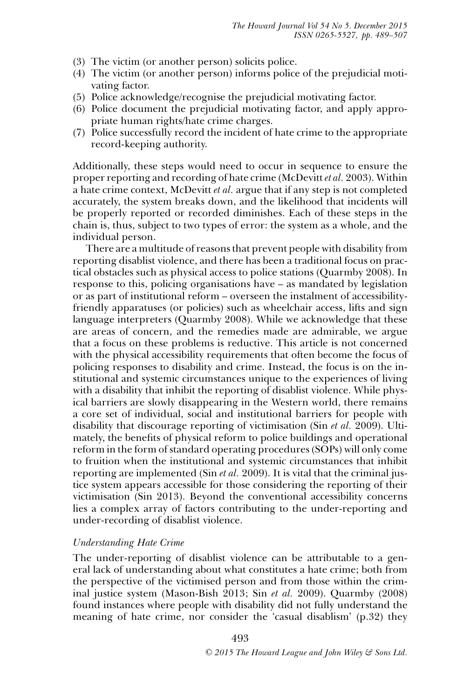- (3) The victim (or another person) solicits police.
- (4) The victim (or another person) informs police of the prejudicial motivating factor.
- (5) Police acknowledge/recognise the prejudicial motivating factor.
- (6) Police document the prejudicial motivating factor, and apply appropriate human rights/hate crime charges.
- (7) Police successfully record the incident of hate crime to the appropriate record-keeping authority.

Additionally, these steps would need to occur in sequence to ensure the proper reporting and recording of hate crime (McDevitt*et al.* 2003). Within a hate crime context, McDevitt *et al.* argue that if any step is not completed accurately, the system breaks down, and the likelihood that incidents will be properly reported or recorded diminishes. Each of these steps in the chain is, thus, subject to two types of error: the system as a whole, and the individual person.

There are a multitude of reasons that prevent people with disability from reporting disablist violence, and there has been a traditional focus on practical obstacles such as physical access to police stations (Quarmby 2008). In response to this, policing organisations have – as mandated by legislation or as part of institutional reform – overseen the instalment of accessibilityfriendly apparatuses (or policies) such as wheelchair access, lifts and sign language interpreters (Quarmby 2008). While we acknowledge that these are areas of concern, and the remedies made are admirable, we argue that a focus on these problems is reductive. This article is not concerned with the physical accessibility requirements that often become the focus of policing responses to disability and crime. Instead, the focus is on the institutional and systemic circumstances unique to the experiences of living with a disability that inhibit the reporting of disablist violence. While physical barriers are slowly disappearing in the Western world, there remains a core set of individual, social and institutional barriers for people with disability that discourage reporting of victimisation (Sin *et al.* 2009). Ultimately, the benefits of physical reform to police buildings and operational reform in the form of standard operating procedures (SOPs) will only come to fruition when the institutional and systemic circumstances that inhibit reporting are implemented (Sin *et al.* 2009). It is vital that the criminal justice system appears accessible for those considering the reporting of their victimisation (Sin 2013). Beyond the conventional accessibility concerns lies a complex array of factors contributing to the under-reporting and under-recording of disablist violence.

# *Understanding Hate Crime*

The under-reporting of disablist violence can be attributable to a general lack of understanding about what constitutes a hate crime; both from the perspective of the victimised person and from those within the criminal justice system (Mason-Bish 2013; Sin *et al.* 2009). Quarmby (2008) found instances where people with disability did not fully understand the meaning of hate crime, nor consider the 'casual disablism' (p.32) they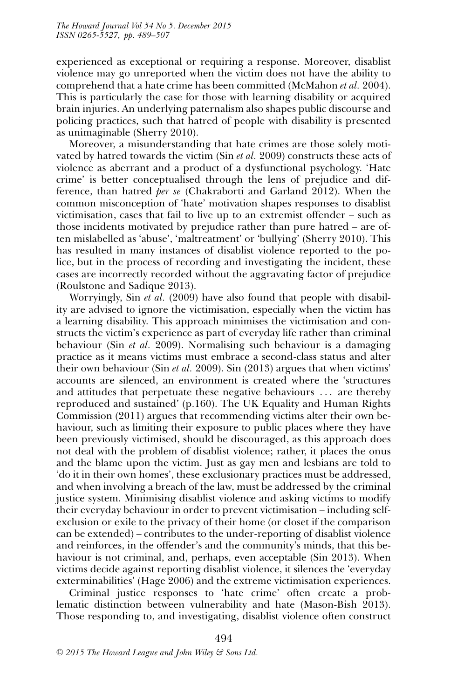experienced as exceptional or requiring a response. Moreover, disablist violence may go unreported when the victim does not have the ability to comprehend that a hate crime has been committed (McMahon *et al.* 2004). This is particularly the case for those with learning disability or acquired brain injuries. An underlying paternalism also shapes public discourse and policing practices, such that hatred of people with disability is presented as unimaginable (Sherry 2010).

Moreover, a misunderstanding that hate crimes are those solely motivated by hatred towards the victim (Sin *et al.* 2009) constructs these acts of violence as aberrant and a product of a dysfunctional psychology. 'Hate crime' is better conceptualised through the lens of prejudice and difference, than hatred *per se* (Chakraborti and Garland 2012). When the common misconception of 'hate' motivation shapes responses to disablist victimisation, cases that fail to live up to an extremist offender – such as those incidents motivated by prejudice rather than pure hatred – are often mislabelled as 'abuse', 'maltreatment' or 'bullying' (Sherry 2010). This has resulted in many instances of disablist violence reported to the police, but in the process of recording and investigating the incident, these cases are incorrectly recorded without the aggravating factor of prejudice (Roulstone and Sadique 2013).

Worryingly, Sin *et al.* (2009) have also found that people with disability are advised to ignore the victimisation, especially when the victim has a learning disability. This approach minimises the victimisation and constructs the victim's experience as part of everyday life rather than criminal behaviour (Sin *et al.* 2009). Normalising such behaviour is a damaging practice as it means victims must embrace a second-class status and alter their own behaviour (Sin *et al.* 2009). Sin (2013) argues that when victims' accounts are silenced, an environment is created where the 'structures and attitudes that perpetuate these negative behaviours . . . are thereby reproduced and sustained' (p.160). The UK Equality and Human Rights Commission (2011) argues that recommending victims alter their own behaviour, such as limiting their exposure to public places where they have been previously victimised, should be discouraged, as this approach does not deal with the problem of disablist violence; rather, it places the onus and the blame upon the victim. Just as gay men and lesbians are told to 'do it in their own homes', these exclusionary practices must be addressed, and when involving a breach of the law, must be addressed by the criminal justice system. Minimising disablist violence and asking victims to modify their everyday behaviour in order to prevent victimisation – including selfexclusion or exile to the privacy of their home (or closet if the comparison can be extended) – contributes to the under-reporting of disablist violence and reinforces, in the offender's and the community's minds, that this behaviour is not criminal, and, perhaps, even acceptable (Sin 2013). When victims decide against reporting disablist violence, it silences the 'everyday exterminabilities' (Hage 2006) and the extreme victimisation experiences.

Criminal justice responses to 'hate crime' often create a problematic distinction between vulnerability and hate (Mason-Bish 2013). Those responding to, and investigating, disablist violence often construct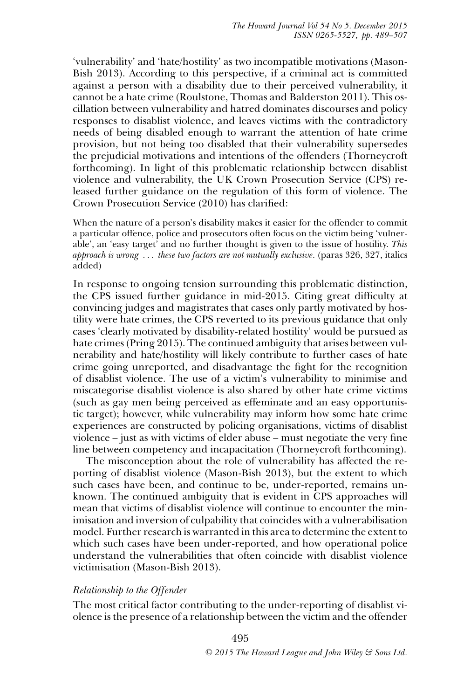'vulnerability' and 'hate/hostility' as two incompatible motivations (Mason-Bish 2013). According to this perspective, if a criminal act is committed against a person with a disability due to their perceived vulnerability, it cannot be a hate crime (Roulstone, Thomas and Balderston 2011). This oscillation between vulnerability and hatred dominates discourses and policy responses to disablist violence, and leaves victims with the contradictory needs of being disabled enough to warrant the attention of hate crime provision, but not being too disabled that their vulnerability supersedes the prejudicial motivations and intentions of the offenders (Thorneycroft forthcoming). In light of this problematic relationship between disablist violence and vulnerability, the UK Crown Prosecution Service (CPS) released further guidance on the regulation of this form of violence. The Crown Prosecution Service (2010) has clarified:

When the nature of a person's disability makes it easier for the offender to commit a particular offence, police and prosecutors often focus on the victim being 'vulnerable', an 'easy target' and no further thought is given to the issue of hostility. *This approach is wrong . . . these two factors are not mutually exclusive.* (paras 326, 327, italics added)

In response to ongoing tension surrounding this problematic distinction, the CPS issued further guidance in mid-2015. Citing great difficulty at convincing judges and magistrates that cases only partly motivated by hostility were hate crimes, the CPS reverted to its previous guidance that only cases 'clearly motivated by disability-related hostility' would be pursued as hate crimes (Pring 2015). The continued ambiguity that arises between vulnerability and hate/hostility will likely contribute to further cases of hate crime going unreported, and disadvantage the fight for the recognition of disablist violence. The use of a victim's vulnerability to minimise and miscategorise disablist violence is also shared by other hate crime victims (such as gay men being perceived as effeminate and an easy opportunistic target); however, while vulnerability may inform how some hate crime experiences are constructed by policing organisations, victims of disablist violence – just as with victims of elder abuse – must negotiate the very fine line between competency and incapacitation (Thorneycroft forthcoming).

The misconception about the role of vulnerability has affected the reporting of disablist violence (Mason-Bish 2013), but the extent to which such cases have been, and continue to be, under-reported, remains unknown. The continued ambiguity that is evident in CPS approaches will mean that victims of disablist violence will continue to encounter the minimisation and inversion of culpability that coincides with a vulnerabilisation model. Further research is warranted in this area to determine the extent to which such cases have been under-reported, and how operational police understand the vulnerabilities that often coincide with disablist violence victimisation (Mason-Bish 2013).

# *Relationship to the Offender*

The most critical factor contributing to the under-reporting of disablist violence is the presence of a relationship between the victim and the offender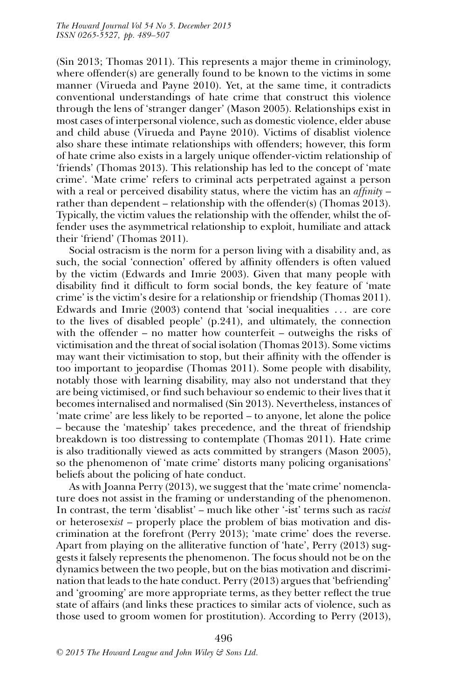(Sin 2013; Thomas 2011). This represents a major theme in criminology, where offender(s) are generally found to be known to the victims in some manner (Virueda and Payne 2010). Yet, at the same time, it contradicts conventional understandings of hate crime that construct this violence through the lens of 'stranger danger' (Mason 2005). Relationships exist in most cases of interpersonal violence, such as domestic violence, elder abuse and child abuse (Virueda and Payne 2010). Victims of disablist violence also share these intimate relationships with offenders; however, this form of hate crime also exists in a largely unique offender-victim relationship of 'friends' (Thomas 2013). This relationship has led to the concept of 'mate crime'. 'Mate crime' refers to criminal acts perpetrated against a person with a real or perceived disability status, where the victim has an *affinity* – rather than dependent – relationship with the offender(s) (Thomas 2013). Typically, the victim values the relationship with the offender, whilst the offender uses the asymmetrical relationship to exploit, humiliate and attack their 'friend' (Thomas 2011).

Social ostracism is the norm for a person living with a disability and, as such, the social 'connection' offered by affinity offenders is often valued by the victim (Edwards and Imrie 2003). Given that many people with disability find it difficult to form social bonds, the key feature of 'mate crime' is the victim's desire for a relationship or friendship (Thomas 2011). Edwards and Imrie (2003) contend that 'social inequalities . . . are core to the lives of disabled people' (p.241), and ultimately, the connection with the offender – no matter how counterfeit – outweighs the risks of victimisation and the threat of social isolation (Thomas 2013). Some victims may want their victimisation to stop, but their affinity with the offender is too important to jeopardise (Thomas 2011). Some people with disability, notably those with learning disability, may also not understand that they are being victimised, or find such behaviour so endemic to their lives that it becomes internalised and normalised (Sin 2013). Nevertheless, instances of 'mate crime' are less likely to be reported – to anyone, let alone the police – because the 'mateship' takes precedence, and the threat of friendship breakdown is too distressing to contemplate (Thomas 2011). Hate crime is also traditionally viewed as acts committed by strangers (Mason 2005), so the phenomenon of 'mate crime' distorts many policing organisations' beliefs about the policing of hate conduct.

As with Joanna Perry (2013), we suggest that the 'mate crime' nomenclature does not assist in the framing or understanding of the phenomenon. In contrast, the term 'disablist' – much like other '-ist' terms such as rac*ist* or heterosex*ist* – properly place the problem of bias motivation and discrimination at the forefront (Perry 2013); 'mate crime' does the reverse. Apart from playing on the alliterative function of 'hate', Perry (2013) suggests it falsely represents the phenomenon. The focus should not be on the dynamics between the two people, but on the bias motivation and discrimination that leads to the hate conduct. Perry (2013) argues that 'befriending' and 'grooming' are more appropriate terms, as they better reflect the true state of affairs (and links these practices to similar acts of violence, such as those used to groom women for prostitution). According to Perry (2013),

496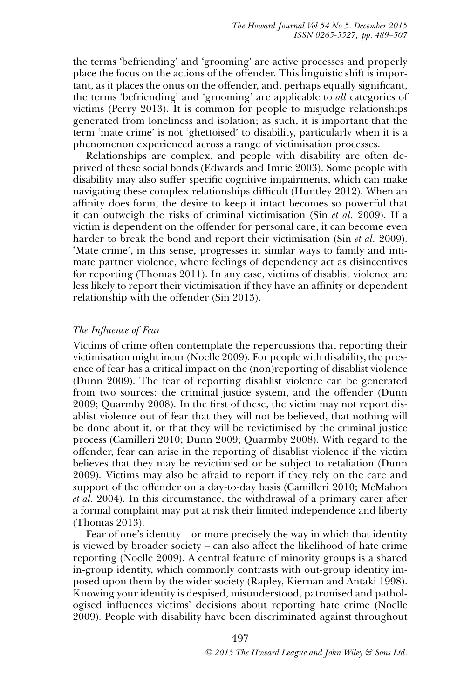the terms 'befriending' and 'grooming' are active processes and properly place the focus on the actions of the offender. This linguistic shift is important, as it places the onus on the offender, and, perhaps equally significant, the terms 'befriending' and 'grooming' are applicable to *all* categories of victims (Perry 2013). It is common for people to misjudge relationships generated from loneliness and isolation; as such, it is important that the term 'mate crime' is not 'ghettoised' to disability, particularly when it is a phenomenon experienced across a range of victimisation processes.

Relationships are complex, and people with disability are often deprived of these social bonds (Edwards and Imrie 2003). Some people with disability may also suffer specific cognitive impairments, which can make navigating these complex relationships difficult (Huntley 2012). When an affinity does form, the desire to keep it intact becomes so powerful that it can outweigh the risks of criminal victimisation (Sin *et al.* 2009). If a victim is dependent on the offender for personal care, it can become even harder to break the bond and report their victimisation (Sin *et al.* 2009). 'Mate crime', in this sense, progresses in similar ways to family and intimate partner violence, where feelings of dependency act as disincentives for reporting (Thomas 2011). In any case, victims of disablist violence are less likely to report their victimisation if they have an affinity or dependent relationship with the offender (Sin 2013).

#### *The Influence of Fear*

Victims of crime often contemplate the repercussions that reporting their victimisation might incur (Noelle 2009). For people with disability, the presence of fear has a critical impact on the (non)reporting of disablist violence (Dunn 2009). The fear of reporting disablist violence can be generated from two sources: the criminal justice system, and the offender (Dunn 2009; Quarmby 2008). In the first of these, the victim may not report disablist violence out of fear that they will not be believed, that nothing will be done about it, or that they will be revictimised by the criminal justice process (Camilleri 2010; Dunn 2009; Quarmby 2008). With regard to the offender, fear can arise in the reporting of disablist violence if the victim believes that they may be revictimised or be subject to retaliation (Dunn 2009). Victims may also be afraid to report if they rely on the care and support of the offender on a day-to-day basis (Camilleri 2010; McMahon *et al.* 2004). In this circumstance, the withdrawal of a primary carer after a formal complaint may put at risk their limited independence and liberty (Thomas 2013).

Fear of one's identity – or more precisely the way in which that identity is viewed by broader society – can also affect the likelihood of hate crime reporting (Noelle 2009). A central feature of minority groups is a shared in-group identity, which commonly contrasts with out-group identity imposed upon them by the wider society (Rapley, Kiernan and Antaki 1998). Knowing your identity is despised, misunderstood, patronised and pathologised influences victims' decisions about reporting hate crime (Noelle 2009). People with disability have been discriminated against throughout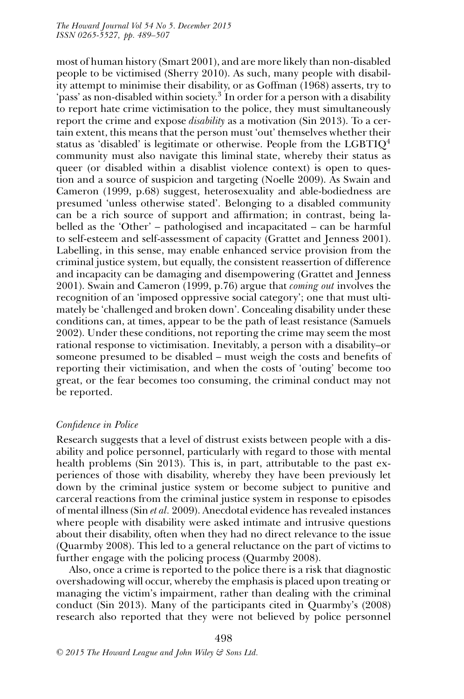most of human history (Smart 2001), and are more likely than non-disabled people to be victimised (Sherry 2010). As such, many people with disability attempt to minimise their disability, or as Goffman (1968) asserts, try to 'pass' as non-disabled within society.3 In order for a person with a disability to report hate crime victimisation to the police, they must simultaneously report the crime and expose *disability* as a motivation (Sin 2013). To a certain extent, this means that the person must 'out' themselves whether their status as 'disabled' is legitimate or otherwise. People from the LGBTIQ<sup>4</sup> community must also navigate this liminal state, whereby their status as queer (or disabled within a disablist violence context) is open to question and a source of suspicion and targeting (Noelle 2009). As Swain and Cameron (1999, p.68) suggest, heterosexuality and able-bodiedness are presumed 'unless otherwise stated'. Belonging to a disabled community can be a rich source of support and affirmation; in contrast, being labelled as the 'Other' – pathologised and incapacitated – can be harmful to self-esteem and self-assessment of capacity (Grattet and Jenness 2001). Labelling, in this sense, may enable enhanced service provision from the criminal justice system, but equally, the consistent reassertion of difference and incapacity can be damaging and disempowering (Grattet and Jenness 2001). Swain and Cameron (1999, p.76) argue that *coming out* involves the recognition of an 'imposed oppressive social category'; one that must ultimately be 'challenged and broken down'. Concealing disability under these conditions can, at times, appear to be the path of least resistance (Samuels 2002). Under these conditions, not reporting the crime may seem the most rational response to victimisation. Inevitably, a person with a disability–or someone presumed to be disabled – must weigh the costs and benefits of reporting their victimisation, and when the costs of 'outing' become too great, or the fear becomes too consuming, the criminal conduct may not be reported.

# *Confidence in Police*

Research suggests that a level of distrust exists between people with a disability and police personnel, particularly with regard to those with mental health problems (Sin 2013). This is, in part, attributable to the past experiences of those with disability, whereby they have been previously let down by the criminal justice system or become subject to punitive and carceral reactions from the criminal justice system in response to episodes of mental illness (Sin *et al.* 2009). Anecdotal evidence has revealed instances where people with disability were asked intimate and intrusive questions about their disability, often when they had no direct relevance to the issue (Quarmby 2008). This led to a general reluctance on the part of victims to further engage with the policing process (Quarmby 2008).

Also, once a crime is reported to the police there is a risk that diagnostic overshadowing will occur, whereby the emphasis is placed upon treating or managing the victim's impairment, rather than dealing with the criminal conduct (Sin 2013). Many of the participants cited in Quarmby's (2008) research also reported that they were not believed by police personnel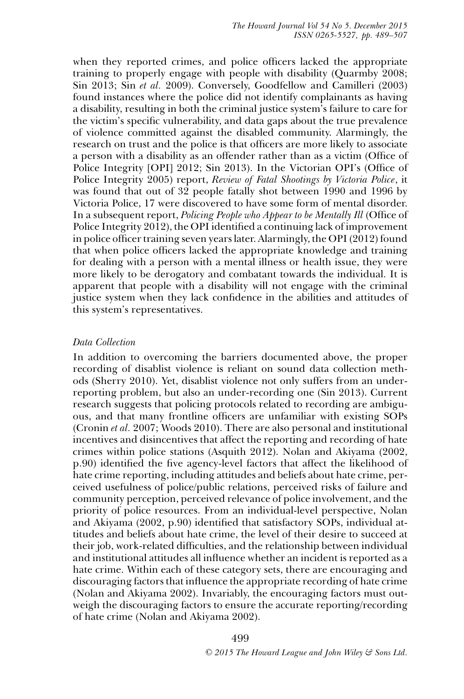when they reported crimes, and police officers lacked the appropriate training to properly engage with people with disability (Quarmby 2008; Sin 2013; Sin *et al.* 2009). Conversely, Goodfellow and Camilleri (2003) found instances where the police did not identify complainants as having a disability, resulting in both the criminal justice system's failure to care for the victim's specific vulnerability, and data gaps about the true prevalence of violence committed against the disabled community. Alarmingly, the research on trust and the police is that officers are more likely to associate a person with a disability as an offender rather than as a victim (Office of Police Integrity [OPI] 2012; Sin 2013). In the Victorian OPI's (Office of Police Integrity 2005) report, *Review of Fatal Shootings by Victoria Police*, it was found that out of 32 people fatally shot between 1990 and 1996 by Victoria Police, 17 were discovered to have some form of mental disorder. In a subsequent report, *Policing People who Appear to be Mentally Ill* (Office of Police Integrity 2012), the OPI identified a continuing lack of improvement in police officer training seven years later. Alarmingly, the OPI (2012) found that when police officers lacked the appropriate knowledge and training for dealing with a person with a mental illness or health issue, they were more likely to be derogatory and combatant towards the individual. It is apparent that people with a disability will not engage with the criminal justice system when they lack confidence in the abilities and attitudes of this system's representatives.

#### *Data Collection*

In addition to overcoming the barriers documented above, the proper recording of disablist violence is reliant on sound data collection methods (Sherry 2010). Yet, disablist violence not only suffers from an underreporting problem, but also an under-recording one (Sin 2013). Current research suggests that policing protocols related to recording are ambiguous, and that many frontline officers are unfamiliar with existing SOPs (Cronin *et al.* 2007; Woods 2010). There are also personal and institutional incentives and disincentives that affect the reporting and recording of hate crimes within police stations (Asquith 2012). Nolan and Akiyama (2002, p.90) identified the five agency-level factors that affect the likelihood of hate crime reporting, including attitudes and beliefs about hate crime, perceived usefulness of police/public relations, perceived risks of failure and community perception, perceived relevance of police involvement, and the priority of police resources. From an individual-level perspective, Nolan and Akiyama (2002, p.90) identified that satisfactory SOPs, individual attitudes and beliefs about hate crime, the level of their desire to succeed at their job, work-related difficulties, and the relationship between individual and institutional attitudes all influence whether an incident is reported as a hate crime. Within each of these category sets, there are encouraging and discouraging factors that influence the appropriate recording of hate crime (Nolan and Akiyama 2002). Invariably, the encouraging factors must outweigh the discouraging factors to ensure the accurate reporting/recording of hate crime (Nolan and Akiyama 2002).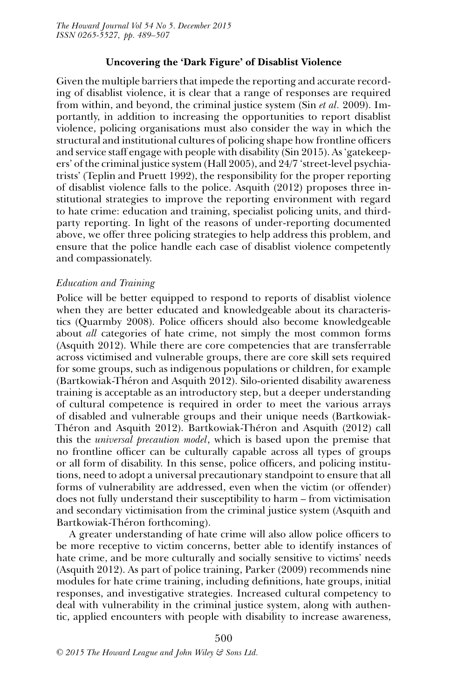# **Uncovering the 'Dark Figure' of Disablist Violence**

Given the multiple barriers that impede the reporting and accurate recording of disablist violence, it is clear that a range of responses are required from within, and beyond, the criminal justice system (Sin *et al.* 2009). Importantly, in addition to increasing the opportunities to report disablist violence, policing organisations must also consider the way in which the structural and institutional cultures of policing shape how frontline officers and service staff engage with people with disability (Sin 2015). As 'gatekeepers' of the criminal justice system (Hall 2005), and 24/7 'street-level psychiatrists' (Teplin and Pruett 1992), the responsibility for the proper reporting of disablist violence falls to the police. Asquith (2012) proposes three institutional strategies to improve the reporting environment with regard to hate crime: education and training, specialist policing units, and thirdparty reporting. In light of the reasons of under-reporting documented above, we offer three policing strategies to help address this problem, and ensure that the police handle each case of disablist violence competently and compassionately.

#### *Education and Training*

Police will be better equipped to respond to reports of disablist violence when they are better educated and knowledgeable about its characteristics (Quarmby 2008). Police officers should also become knowledgeable about *all* categories of hate crime, not simply the most common forms (Asquith 2012). While there are core competencies that are transferrable across victimised and vulnerable groups, there are core skill sets required for some groups, such as indigenous populations or children, for example (Bartkowiak-Théron and Asquith 2012). Silo-oriented disability awareness training is acceptable as an introductory step, but a deeper understanding of cultural competence is required in order to meet the various arrays of disabled and vulnerable groups and their unique needs (Bartkowiak-Théron and Asquith 2012). Bartkowiak-Théron and Asquith (2012) call this the *universal precaution model*, which is based upon the premise that no frontline officer can be culturally capable across all types of groups or all form of disability. In this sense, police officers, and policing institutions, need to adopt a universal precautionary standpoint to ensure that all forms of vulnerability are addressed, even when the victim (or offender) does not fully understand their susceptibility to harm – from victimisation and secondary victimisation from the criminal justice system (Asquith and Bartkowiak-Théron forthcoming).

A greater understanding of hate crime will also allow police officers to be more receptive to victim concerns, better able to identify instances of hate crime, and be more culturally and socially sensitive to victims' needs (Asquith 2012). As part of police training, Parker (2009) recommends nine modules for hate crime training, including definitions, hate groups, initial responses, and investigative strategies. Increased cultural competency to deal with vulnerability in the criminal justice system, along with authentic, applied encounters with people with disability to increase awareness,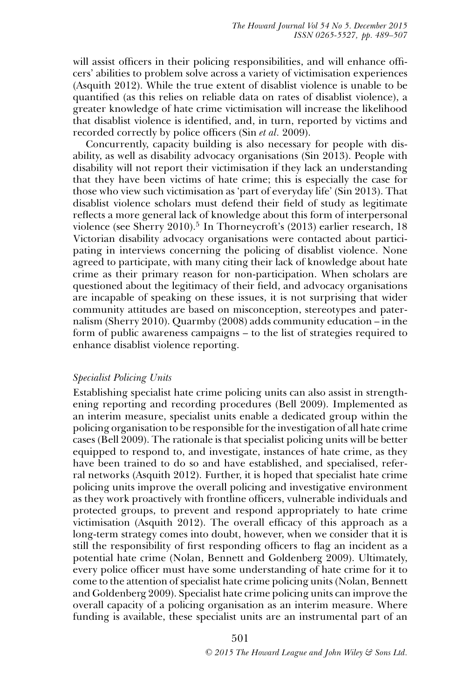will assist officers in their policing responsibilities, and will enhance officers' abilities to problem solve across a variety of victimisation experiences (Asquith 2012). While the true extent of disablist violence is unable to be quantified (as this relies on reliable data on rates of disablist violence), a greater knowledge of hate crime victimisation will increase the likelihood that disablist violence is identified, and, in turn, reported by victims and recorded correctly by police officers (Sin *et al.* 2009).

Concurrently, capacity building is also necessary for people with disability, as well as disability advocacy organisations (Sin 2013). People with disability will not report their victimisation if they lack an understanding that they have been victims of hate crime; this is especially the case for those who view such victimisation as 'part of everyday life' (Sin 2013). That disablist violence scholars must defend their field of study as legitimate reflects a more general lack of knowledge about this form of interpersonal violence (see Sherry 2010).<sup>5</sup> In Thorneycroft's (2013) earlier research, 18 Victorian disability advocacy organisations were contacted about participating in interviews concerning the policing of disablist violence. None agreed to participate, with many citing their lack of knowledge about hate crime as their primary reason for non-participation. When scholars are questioned about the legitimacy of their field, and advocacy organisations are incapable of speaking on these issues, it is not surprising that wider community attitudes are based on misconception, stereotypes and paternalism (Sherry 2010). Quarmby (2008) adds community education – in the form of public awareness campaigns – to the list of strategies required to enhance disablist violence reporting.

# *Specialist Policing Units*

Establishing specialist hate crime policing units can also assist in strengthening reporting and recording procedures (Bell 2009). Implemented as an interim measure, specialist units enable a dedicated group within the policing organisation to be responsible for the investigation of all hate crime cases (Bell 2009). The rationale is that specialist policing units will be better equipped to respond to, and investigate, instances of hate crime, as they have been trained to do so and have established, and specialised, referral networks (Asquith 2012). Further, it is hoped that specialist hate crime policing units improve the overall policing and investigative environment as they work proactively with frontline officers, vulnerable individuals and protected groups, to prevent and respond appropriately to hate crime victimisation (Asquith 2012). The overall efficacy of this approach as a long-term strategy comes into doubt, however, when we consider that it is still the responsibility of first responding officers to flag an incident as a potential hate crime (Nolan, Bennett and Goldenberg 2009). Ultimately, every police officer must have some understanding of hate crime for it to come to the attention of specialist hate crime policing units (Nolan, Bennett and Goldenberg 2009). Specialist hate crime policing units can improve the overall capacity of a policing organisation as an interim measure. Where funding is available, these specialist units are an instrumental part of an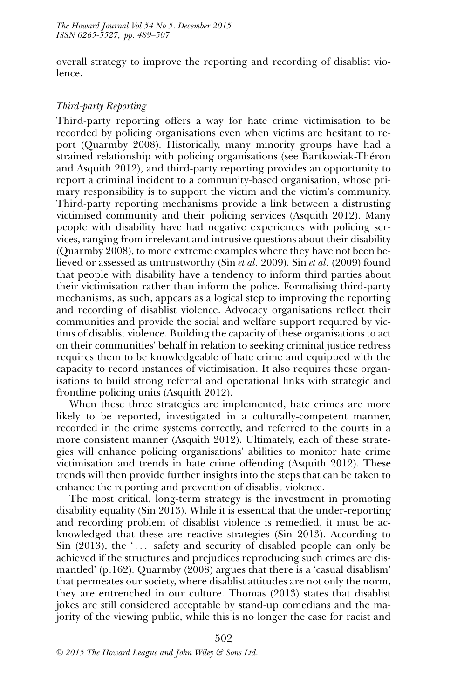overall strategy to improve the reporting and recording of disablist violence.

# *Third-party Reporting*

Third-party reporting offers a way for hate crime victimisation to be recorded by policing organisations even when victims are hesitant to report (Quarmby 2008). Historically, many minority groups have had a strained relationship with policing organisations (see Bartkowiak-Théron and Asquith 2012), and third-party reporting provides an opportunity to report a criminal incident to a community-based organisation, whose primary responsibility is to support the victim and the victim's community. Third-party reporting mechanisms provide a link between a distrusting victimised community and their policing services (Asquith 2012). Many people with disability have had negative experiences with policing services, ranging from irrelevant and intrusive questions about their disability (Quarmby 2008), to more extreme examples where they have not been believed or assessed as untrustworthy (Sin *et al.* 2009). Sin *et al.* (2009) found that people with disability have a tendency to inform third parties about their victimisation rather than inform the police. Formalising third-party mechanisms, as such, appears as a logical step to improving the reporting and recording of disablist violence. Advocacy organisations reflect their communities and provide the social and welfare support required by victims of disablist violence. Building the capacity of these organisations to act on their communities' behalf in relation to seeking criminal justice redress requires them to be knowledgeable of hate crime and equipped with the capacity to record instances of victimisation. It also requires these organisations to build strong referral and operational links with strategic and frontline policing units (Asquith 2012).

When these three strategies are implemented, hate crimes are more likely to be reported, investigated in a culturally-competent manner, recorded in the crime systems correctly, and referred to the courts in a more consistent manner (Asquith 2012). Ultimately, each of these strategies will enhance policing organisations' abilities to monitor hate crime victimisation and trends in hate crime offending (Asquith 2012). These trends will then provide further insights into the steps that can be taken to enhance the reporting and prevention of disablist violence.

The most critical, long-term strategy is the investment in promoting disability equality (Sin 2013). While it is essential that the under-reporting and recording problem of disablist violence is remedied, it must be acknowledged that these are reactive strategies (Sin 2013). According to Sin  $(2013)$ , the '... safety and security of disabled people can only be achieved if the structures and prejudices reproducing such crimes are dismantled' (p.162). Quarmby (2008) argues that there is a 'casual disablism' that permeates our society, where disablist attitudes are not only the norm, they are entrenched in our culture. Thomas (2013) states that disablist jokes are still considered acceptable by stand-up comedians and the majority of the viewing public, while this is no longer the case for racist and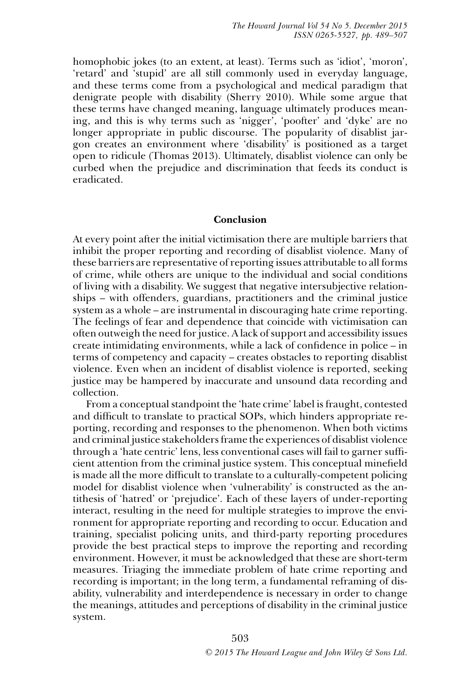homophobic jokes (to an extent, at least). Terms such as 'idiot', 'moron', 'retard' and 'stupid' are all still commonly used in everyday language, and these terms come from a psychological and medical paradigm that denigrate people with disability (Sherry 2010). While some argue that these terms have changed meaning, language ultimately produces meaning, and this is why terms such as 'nigger', 'poofter' and 'dyke' are no longer appropriate in public discourse. The popularity of disablist jargon creates an environment where 'disability' is positioned as a target open to ridicule (Thomas 2013). Ultimately, disablist violence can only be curbed when the prejudice and discrimination that feeds its conduct is eradicated.

#### **Conclusion**

At every point after the initial victimisation there are multiple barriers that inhibit the proper reporting and recording of disablist violence. Many of these barriers are representative of reporting issues attributable to all forms of crime, while others are unique to the individual and social conditions of living with a disability. We suggest that negative intersubjective relationships – with offenders, guardians, practitioners and the criminal justice system as a whole – are instrumental in discouraging hate crime reporting. The feelings of fear and dependence that coincide with victimisation can often outweigh the need for justice. A lack of support and accessibility issues create intimidating environments, while a lack of confidence in police – in terms of competency and capacity – creates obstacles to reporting disablist violence. Even when an incident of disablist violence is reported, seeking justice may be hampered by inaccurate and unsound data recording and collection.

From a conceptual standpoint the 'hate crime' label is fraught, contested and difficult to translate to practical SOPs, which hinders appropriate reporting, recording and responses to the phenomenon. When both victims and criminal justice stakeholders frame the experiences of disablist violence through a 'hate centric' lens, less conventional cases will fail to garner sufficient attention from the criminal justice system. This conceptual minefield is made all the more difficult to translate to a culturally-competent policing model for disablist violence when 'vulnerability' is constructed as the antithesis of 'hatred' or 'prejudice'. Each of these layers of under-reporting interact, resulting in the need for multiple strategies to improve the environment for appropriate reporting and recording to occur. Education and training, specialist policing units, and third-party reporting procedures provide the best practical steps to improve the reporting and recording environment. However, it must be acknowledged that these are short-term measures. Triaging the immediate problem of hate crime reporting and recording is important; in the long term, a fundamental reframing of disability, vulnerability and interdependence is necessary in order to change the meanings, attitudes and perceptions of disability in the criminal justice system.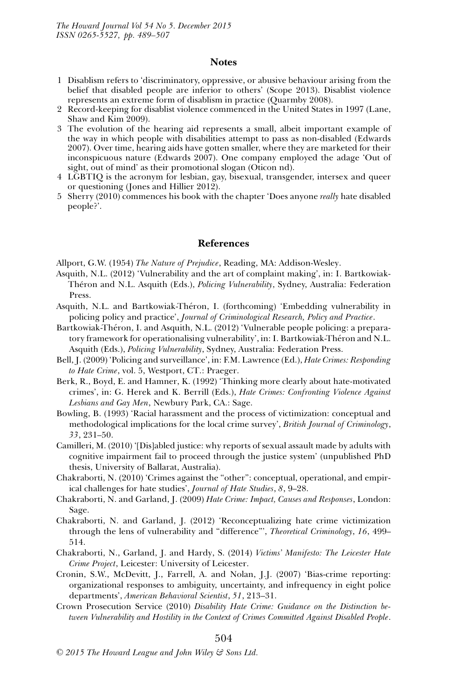#### **Notes**

- 1 Disablism refers to 'discriminatory, oppressive, or abusive behaviour arising from the belief that disabled people are inferior to others' (Scope 2013). Disablist violence represents an extreme form of disablism in practice (Quarmby 2008).
- 2 Record-keeping for disablist violence commenced in the United States in 1997 (Lane, Shaw and Kim 2009).
- 3 The evolution of the hearing aid represents a small, albeit important example of the way in which people with disabilities attempt to pass as non-disabled (Edwards 2007). Over time, hearing aids have gotten smaller, where they are marketed for their inconspicuous nature (Edwards 2007). One company employed the adage 'Out of sight, out of mind' as their promotional slogan (Oticon nd).
- 4 LGBTIQ is the acronym for lesbian, gay, bisexual, transgender, intersex and queer or questioning (Jones and Hillier 2012).
- 5 Sherry (2010) commences his book with the chapter 'Does anyone *really* hate disabled people?'.

#### **References**

Allport, G.W. (1954) *The Nature of Prejudice*, Reading, MA: Addison-Wesley.

- Asquith, N.L. (2012) 'Vulnerability and the art of complaint making', in: I. Bartkowiak-Théron and N.L. Asquith (Eds.), *Policing Vulnerability*, Sydney, Australia: Federation Press.
- Asquith, N.L. and Bartkowiak-Théron, I. (forthcoming) 'Embedding vulnerability in policing policy and practice', *Journal of Criminological Research, Policy and Practice*.
- Bartkowiak-Théron, I. and Asquith, N.L. (2012) 'Vulnerable people policing: a preparatory framework for operationalising vulnerability', in: I. Bartkowiak-Théron and N.L. Asquith (Eds.), *Policing Vulnerability*, Sydney, Australia: Federation Press.
- Bell, J. (2009) 'Policing and surveillance', in: F.M. Lawrence (Ed.), *Hate Crimes: Responding to Hate Crime*, vol. 5, Westport, CT.: Praeger.
- Berk, R., Boyd, E. and Hamner, K. (1992) 'Thinking more clearly about hate-motivated crimes', in: G. Herek and K. Berrill (Eds.), *Hate Crimes: Confronting Violence Against Lesbians and Gay Men*, Newbury Park, CA.: Sage.
- Bowling, B. (1993) 'Racial harassment and the process of victimization: conceptual and methodological implications for the local crime survey', *British Journal of Criminology*, *33*, 231–50.
- Camilleri, M. (2010) '[Dis]abled justice: why reports of sexual assault made by adults with cognitive impairment fail to proceed through the justice system' (unpublished PhD thesis, University of Ballarat, Australia).
- Chakraborti, N. (2010) 'Crimes against the "other": conceptual, operational, and empirical challenges for hate studies', *Journal of Hate Studies*, *8*, 9–28.
- Chakraborti, N. and Garland, J. (2009) *Hate Crime: Impact, Causes and Responses*, London: Sage.
- Chakraborti, N. and Garland, J. (2012) 'Reconceptualizing hate crime victimization through the lens of vulnerability and "difference"', *Theoretical Criminology*, *16*, 499– 514.
- Chakraborti, N., Garland, J. and Hardy, S. (2014) *Victims' Manifesto: The Leicester Hate Crime Project*, Leicester: University of Leicester.
- Cronin, S.W., McDevitt, J., Farrell, A. and Nolan, J.J. (2007) 'Bias-crime reporting: organizational responses to ambiguity, uncertainty, and infrequency in eight police departments', *American Behavioral Scientist*, *51*, 213–31.
- Crown Prosecution Service (2010) *Disability Hate Crime: Guidance on the Distinction between Vulnerability and Hostility in the Context of Crimes Committed Against Disabled People*.

504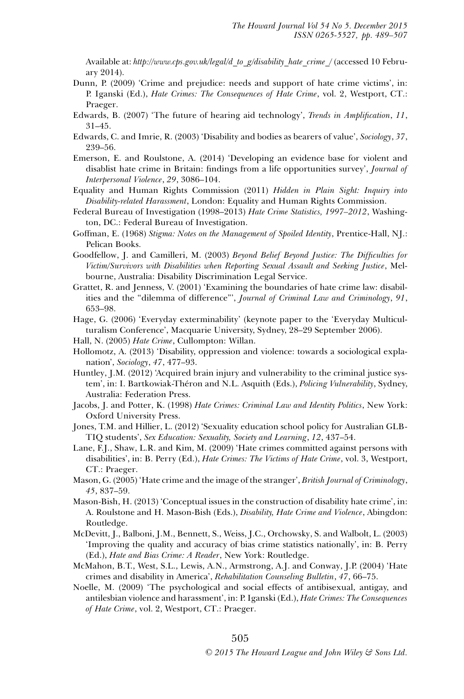Available at: *http://www.cps.gov.uk/legal/d\_to\_g/disability\_hate\_crime\_/* (accessed 10 February 2014).

- Dunn, P. (2009) 'Crime and prejudice: needs and support of hate crime victims', in: P. Iganski (Ed.), *Hate Crimes: The Consequences of Hate Crime*, vol. 2, Westport, CT.: Praeger.
- Edwards, B. (2007) 'The future of hearing aid technology', *Trends in Amplification*, *11*, 31–45.
- Edwards, C. and Imrie, R. (2003) 'Disability and bodies as bearers of value', *Sociology*, *37*, 239–56.
- Emerson, E. and Roulstone, A. (2014) 'Developing an evidence base for violent and disablist hate crime in Britain: findings from a life opportunities survey', *Journal of Interpersonal Violence*, *29*, 3086–104.
- Equality and Human Rights Commission (2011) *Hidden in Plain Sight: Inquiry into Disability-related Harassment*, London: Equality and Human Rights Commission.
- Federal Bureau of Investigation (1998–2013) *Hate Crime Statistics, 1997–2012*, Washington, DC.: Federal Bureau of Investigation.
- Goffman, E. (1968) *Stigma: Notes on the Management of Spoiled Identity*, Prentice-Hall, NJ.: Pelican Books.
- Goodfellow, J. and Camilleri, M. (2003) *Beyond Belief Beyond Justice: The Difficulties for Victim/Survivors with Disabilities when Reporting Sexual Assault and Seeking Justice*, Melbourne, Australia: Disability Discrimination Legal Service.
- Grattet, R. and Jenness, V. (2001) 'Examining the boundaries of hate crime law: disabilities and the "dilemma of difference"', *Journal of Criminal Law and Criminology*, *91*, 653–98.
- Hage, G. (2006) 'Everyday exterminability' (keynote paper to the 'Everyday Multiculturalism Conference', Macquarie University, Sydney, 28–29 September 2006).
- Hall, N. (2005) *Hate Crime*, Cullompton: Willan.
- Hollomotz, A. (2013) 'Disability, oppression and violence: towards a sociological explanation', *Sociology*, *47*, 477–93.
- Huntley, J.M. (2012) 'Acquired brain injury and vulnerability to the criminal justice system', in: I. Bartkowiak-Théron and N.L. Asquith (Eds.), *Policing Vulnerability*, Sydney, Australia: Federation Press.
- Jacobs, J. and Potter, K. (1998) *Hate Crimes: Criminal Law and Identity Politics*, New York: Oxford University Press.
- Jones, T.M. and Hillier, L. (2012) 'Sexuality education school policy for Australian GLB-TIQ students', *Sex Education: Sexuality, Society and Learning*, *12*, 437–54.
- Lane, F.J., Shaw, L.R. and Kim, M. (2009) 'Hate crimes committed against persons with disabilities', in: B. Perry (Ed.), *Hate Crimes: The Victims of Hate Crime*, vol. 3, Westport, CT.: Praeger.
- Mason, G. (2005) 'Hate crime and the image of the stranger', *British Journal of Criminology*, *45*, 837–59.
- Mason-Bish, H. (2013) 'Conceptual issues in the construction of disability hate crime', in: A. Roulstone and H. Mason-Bish (Eds.), *Disability, Hate Crime and Violence*, Abingdon: Routledge.
- McDevitt, J., Balboni, J.M., Bennett, S., Weiss, J.C., Orchowsky, S. and Walbolt, L. (2003) 'Improving the quality and accuracy of bias crime statistics nationally', in: B. Perry (Ed.), *Hate and Bias Crime: A Reader*, New York: Routledge.
- McMahon, B.T., West, S.L., Lewis, A.N., Armstrong, A.J. and Conway, J.P. (2004) 'Hate crimes and disability in America', *Rehabilitation Counseling Bulletin*, *47*, 66–75.
- Noelle, M. (2009) 'The psychological and social effects of antibisexual, antigay, and antilesbian violence and harassment', in: P. Iganski (Ed.), *Hate Crimes: The Consequences of Hate Crime*, vol. 2, Westport, CT.: Praeger.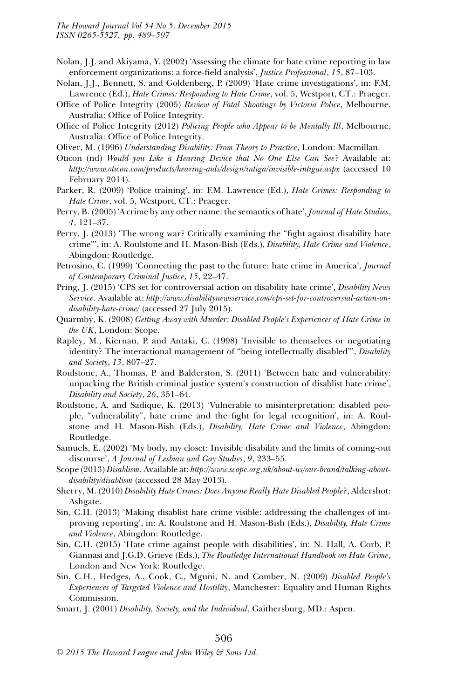- Nolan, J.J. and Akiyama, Y. (2002) 'Assessing the climate for hate crime reporting in law enforcement organizations: a force-field analysis', *Justice Professional*, *15*, 87–103.
- Nolan, J.J., Bennett, S. and Goldenberg, P. (2009) 'Hate crime investigations', in: F.M. Lawrence (Ed.), *Hate Crimes: Responding to Hate Crime*, vol. 5, Westport, CT.: Praeger.
- Office of Police Integrity (2005) *Review of Fatal Shootings by Victoria Police*, Melbourne. Australia: Office of Police Integrity.
- Office of Police Integrity (2012) *Policing People who Appear to be Mentally Ill*, Melbourne, Australia: Office of Police Integrity.
- Oliver, M. (1996) *Understanding Disability: From Theory to Practice*, London: Macmillan.
- Oticon (nd) *Would you Like a Hearing Device that No One Else Can See*? Available at: *http://www.oticon.com/products/hearing-aids/design/intiga/invisible-intigai.aspx* (accessed 10 February 2014).
- Parker, R. (2009) 'Police training', in: F.M. Lawrence (Ed.), *Hate Crimes: Responding to Hate Crime*, vol. 5, Westport, CT.: Praeger.
- Perry, B. (2005) 'A crime by any other name: the semantics of hate', *Journal of Hate Studies*, *4*, 121–37.
- Perry, J. (2013) 'The wrong war? Critically examining the "fight against disability hate crime"', in: A. Roulstone and H. Mason-Bish (Eds.), *Disability, Hate Crime and Violence*, Abingdon: Routledge.
- Petrosino, C. (1999) 'Connecting the past to the future: hate crime in America', *Journal of Contemporary Criminal Justice*, *15*, 22–47.
- Pring, J. (2015) 'CPS set for controversial action on disability hate crime', *Disability News Service*. Available at: *http://www.disabilitynewsservice.com/cps-set-for-controversial-action-ondisability-hate-crime/* (accessed 27 July 2015).
- Quarmby, K. (2008) *Getting Away with Murder: Disabled People's Experiences of Hate Crime in the UK*, London: Scope.
- Rapley, M., Kiernan, P. and Antaki, C. (1998) 'Invisible to themselves or negotiating identity? The interactional management of "being intellectually disabled"', *Disability and Society*, *13*, 807–27.
- Roulstone, A., Thomas, P. and Balderston, S. (2011) 'Between hate and vulnerability: unpacking the British criminal justice system's construction of disablist hate crime', *Disability and Society*, *26*, 351–64.
- Roulstone, A. and Sadique, K. (2013) 'Vulnerable to misinterpretation: disabled people, "vulnerability", hate crime and the fight for legal recognition', in: A. Roulstone and H. Mason-Bish (Eds.), *Disability, Hate Crime and Violence*, Abingdon: Routledge.
- Samuels, E. (2002) 'My body, my closet: Invisible disability and the limits of coming-out discourse', *A Journal of Lesbian and Gay Studies*, *9*, 233–55.
- Scope (2013) *Disablism*. Available at: *http://www.scope.org.uk/about-us/our-brand/talking-aboutdisability/disablism* (accessed 28 May 2013).
- Sherry, M. (2010) *Disability Hate Crimes: Does Anyone Really Hate Disabled People*?, Aldershot: Ashgate.
- Sin, C.H. (2013) 'Making disablist hate crime visible: addressing the challenges of improving reporting', in: A. Roulstone and H. Mason-Bish (Eds.), *Disability, Hate Crime and Violence*, Abingdon: Routledge.
- Sin, C.H. (2015) 'Hate crime against people with disabilities', in: N. Hall, A. Corb, P. Giannasi and J.G.D. Grieve (Eds.), *The Routledge International Handbook on Hate Crime*, London and New York: Routledge.
- Sin, C.H., Hedges, A., Cook, C., Mguni, N. and Comber, N. (2009) *Disabled People's Experiences of Targeted Violence and Hostility*, Manchester: Equality and Human Rights Commission.
- Smart, J. (2001) *Disability, Society, and the Individual*, Gaithersburg, MD.: Aspen.

506